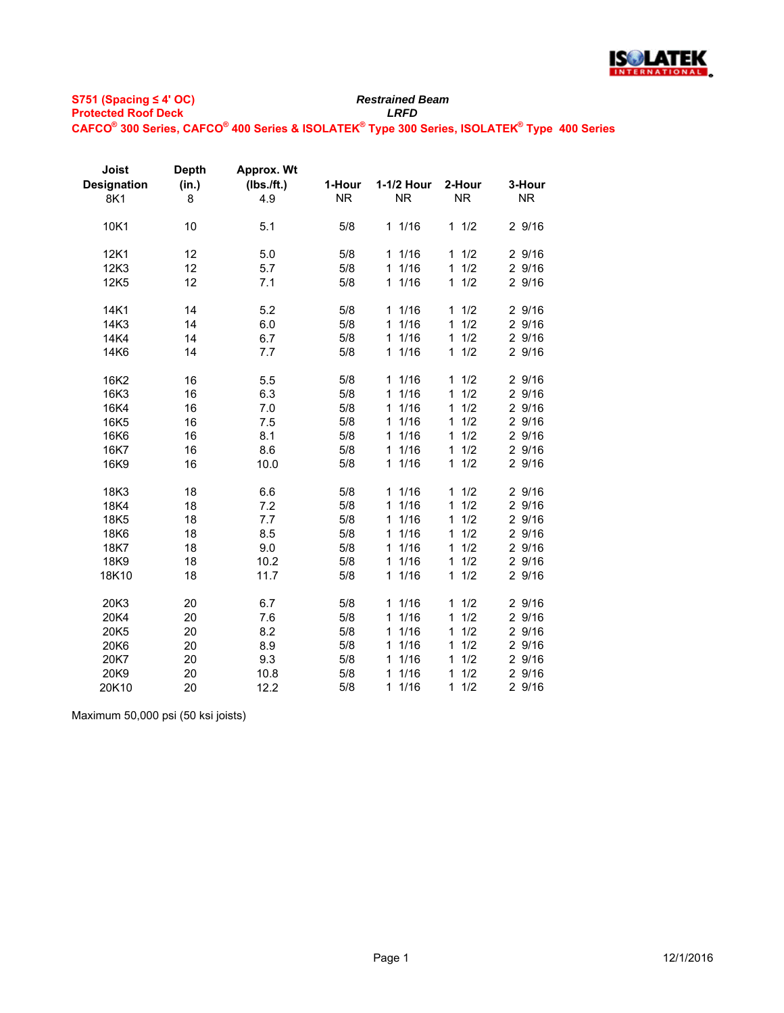

**S751 (Spacing ≤ 4' OC) Protected Roof Deck** *LRFD*

## *Restrained Beam*

**CAFCO® 300 Series, CAFCO® 400 Series & ISOLATEK® Type 300 Series, ISOLATEK® Type 400 Series**

| Joist<br><b>Designation</b><br>8K1 | <b>Depth</b><br>(in.)<br>8 | <b>Approx. Wt</b><br>(Ibs./ft.)<br>4.9 | 1-Hour<br><b>NR</b> | 1-1/2 Hour<br><b>NR</b> | 2-Hour<br><b>NR</b> | 3-Hour<br><b>NR</b> |
|------------------------------------|----------------------------|----------------------------------------|---------------------|-------------------------|---------------------|---------------------|
| 10K1                               | 10                         | 5.1                                    | 5/8                 | 11/16                   | 11/2                | 29/16               |
| 12K1                               | 12                         | 5.0                                    | 5/8                 | 11/16                   | 11/2                | 2 9/16              |
| 12K3                               | 12                         | 5.7                                    | 5/8                 | 1/16<br>$\mathbf{1}$    | $\mathbf{1}$<br>1/2 | 29/16               |
| 12K5                               | 12                         | 7.1                                    | 5/8                 | 1/16<br>$\mathbf{1}$    | 1/2<br>$\mathbf{1}$ | 29/16               |
| 14K1                               | 14                         | 5.2                                    | 5/8                 | 11/16                   | 1/2<br>$\mathbf{1}$ | 29/16               |
| 14K3                               | 14                         | 6.0                                    | 5/8                 | 1/16<br>$\mathbf{1}$    | 1/2<br>$\mathbf{1}$ | 2 9/16              |
| <b>14K4</b>                        | 14                         | 6.7                                    | 5/8                 | 1/16<br>$\mathbf{1}$    | $\mathbf{1}$<br>1/2 | 2 9/16              |
| 14K6                               | 14                         | 7.7                                    | 5/8                 | 1/16<br>$\mathbf{1}$    | 1/2<br>$\mathbf{1}$ | 29/16               |
| 16K2                               | 16                         | 5.5                                    | 5/8                 | 11/16                   | 1/2<br>$\mathbf{1}$ | 29/16               |
| 16K3                               | 16                         | 6.3                                    | 5/8                 | 1/16<br>$\mathbf{1}$    | $\mathbf{1}$<br>1/2 | 29/16               |
| 16K4                               | 16                         | 7.0                                    | 5/8                 | 1/16<br>$\mathbf{1}$    | 1/2<br>$\mathbf{1}$ | 2 9/16              |
| 16K <sub>5</sub>                   | 16                         | 7.5                                    | 5/8                 | 1/16<br>$\mathbf{1}$    | $\mathbf{1}$<br>1/2 | 29/16               |
| 16K6                               | 16                         | 8.1                                    | 5/8                 | 1/16<br>$\mathbf{1}$    | 1/2<br>$\mathbf{1}$ | 2 9/16              |
| 16K7                               | 16                         | 8.6                                    | 5/8                 | 1/16<br>$\mathbf{1}$    | 1/2<br>$\mathbf{1}$ | 29/16               |
| 16K9                               | 16                         | 10.0                                   | 5/8                 | 11/16                   | 1/2<br>$\mathbf{1}$ | 2 9/16              |
| 18K3                               | 18                         | 6.6                                    | 5/8                 | 11/16                   | 1/2<br>$\mathbf{1}$ | 29/16               |
| 18K4                               | 18                         | 7.2                                    | 5/8                 | 1/16<br>$\mathbf{1}$    | 1<br>1/2            | 29/16               |
| 18K5                               | 18                         | 7.7                                    | 5/8                 | 1/16<br>$\mathbf 1$     | $\mathbf{1}$<br>1/2 | 29/16               |
| 18K6                               | 18                         | 8.5                                    | 5/8                 | 1/16<br>$\mathbf{1}$    | 1/2<br>1            | 2 9/16              |
| <b>18K7</b>                        | 18                         | 9.0                                    | 5/8                 | 1/16<br>1               | 1/2<br>1            | 29/16               |
| 18K9                               | 18                         | 10.2                                   | 5/8                 | 1<br>1/16               | 1/2<br>$\mathbf{1}$ | 2 9/16              |
| 18K10                              | 18                         | 11.7                                   | 5/8                 | 1/16<br>$\mathbf{1}$    | 1/2<br>1            | 2 9/16              |
| 20K3                               | 20                         | 6.7                                    | 5/8                 | 1/16<br>$\mathbf{1}$    | 1/2<br>1            | 29/16               |
| 20K4                               | 20                         | 7.6                                    | 5/8                 | 1/16<br>$\mathbf{1}$    | 1/2<br>$\mathbf{1}$ | 2 9/16              |
| 20K5                               | 20                         | 8.2                                    | 5/8                 | 1/16<br>$\mathbf{1}$    | 1/2<br>$\mathbf{1}$ | 2 9/16              |
| 20K6                               | 20                         | 8.9                                    | 5/8                 | 1/16<br>$\mathbf{1}$    | 1<br>1/2            | 2 9/16              |
| 20K7                               | 20                         | 9.3                                    | 5/8                 | 1/16<br>$\mathbf{1}$    | $\mathbf{1}$<br>1/2 | 29/16               |
| 20K9                               | 20                         | 10.8                                   | 5/8                 | 1/16<br>$\mathbf{1}$    | 1<br>1/2            | 2 9/16              |
| 20K10                              | 20                         | 12.2                                   | 5/8                 | 1<br>1/16               | 1<br>1/2            | 2 9/16              |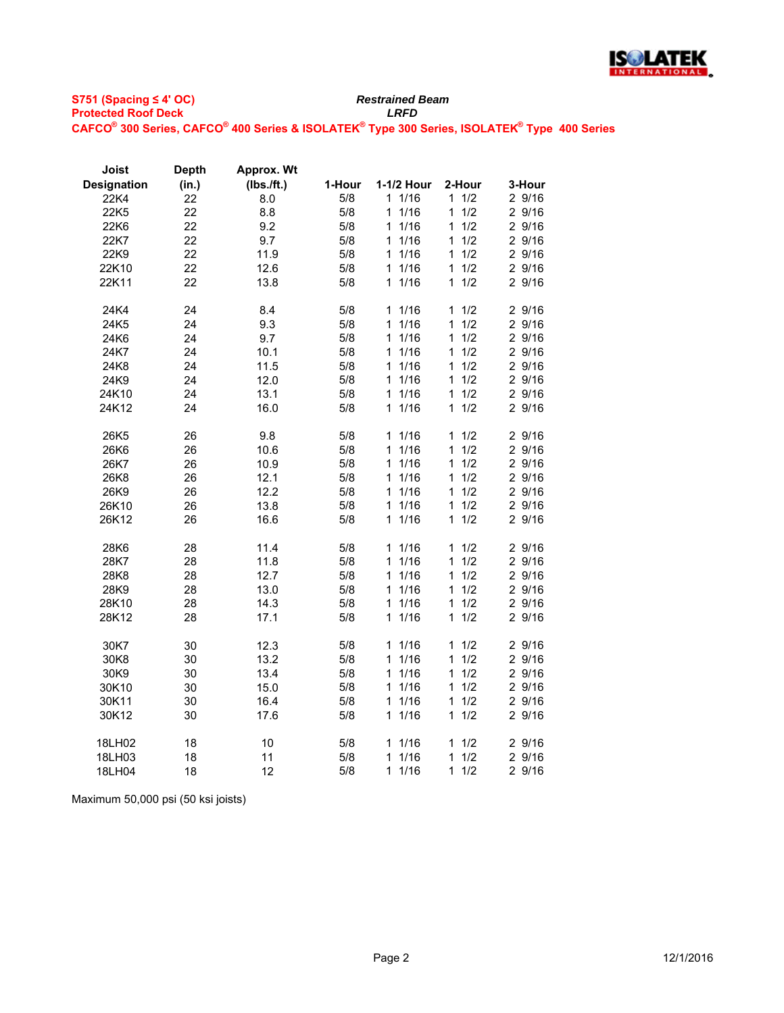

| Joist              | <b>Depth</b> | Approx. Wt |        |                      |                     |        |
|--------------------|--------------|------------|--------|----------------------|---------------------|--------|
| <b>Designation</b> | (in.)        | (Ibs./ft.) | 1-Hour | 1-1/2 Hour           | 2-Hour              | 3-Hour |
| 22K4               | 22           | 8.0        | 5/8    | 11/16                | 11/2                | 2 9/16 |
| 22K5               | 22           | 8.8        | 5/8    | 1/16<br>$\mathbf{1}$ | 1/2<br>1            | 2 9/16 |
| 22K6               | 22           | 9.2        | 5/8    | 1/16<br>1            | 1/2<br>1            | 2 9/16 |
| 22K7               | 22           | 9.7        | 5/8    | $\mathbf{1}$<br>1/16 | 1/2<br>1            | 2 9/16 |
| 22K9               | 22           | 11.9       | 5/8    | 1/16<br>1.           | $\mathbf{1}$<br>1/2 | 2 9/16 |
| 22K10              | 22           | 12.6       | 5/8    | 1/16<br>$\mathbf{1}$ | 1/2<br>1            | 2 9/16 |
| 22K11              | 22           | 13.8       | 5/8    | 1/16<br>1            | 1/2<br>1            | 2 9/16 |
| 24K4               | 24           | 8.4        | 5/8    | 11/16                | 11/2                | 2 9/16 |
| 24K5               | 24           | 9.3        | 5/8    | $\mathbf{1}$<br>1/16 | 1/2<br>1            | 2 9/16 |
| 24K6               | 24           | 9.7        | 5/8    | 1/16<br>1            | 1/2<br>1            | 2 9/16 |
| 24K7               | 24           | 10.1       | 5/8    | 1/16<br>1            | 1/2<br>1            | 2 9/16 |
| 24K8               | 24           | 11.5       | 5/8    | 1/16<br>$\mathbf{1}$ | 1/2<br>1            | 2 9/16 |
| 24K9               | 24           | 12.0       | 5/8    | 1/16<br>1.           | 1/2<br>$\mathbf{1}$ | 2 9/16 |
| 24K10              | 24           | 13.1       | 5/8    | 1/16<br>1            | 1/2<br>1            | 2 9/16 |
| 24K12              | 24           | 16.0       | 5/8    | 1/16<br>1            | 1/2<br>1            | 2 9/16 |
| 26K5               | 26           | 9.8        | 5/8    | 11/16                | 11/2                | 2 9/16 |
| 26K6               | 26           | 10.6       | 5/8    | 1/16<br>1            | 1/2<br>1            | 2 9/16 |
| 26K7               | 26           | 10.9       | 5/8    | 1/16<br>$\mathbf 1$  | 1/2<br>1            | 2 9/16 |
| 26K8               | 26           | 12.1       | 5/8    | 1/16<br>$\mathbf 1$  | 1/2<br>1.           | 2 9/16 |
| 26K9               | 26           | 12.2       | 5/8    | 1/16<br>$\mathbf{1}$ | 1/2<br>1            | 2 9/16 |
| 26K10              | 26           | 13.8       | 5/8    | 1/16<br>1.           | 1/2<br>1            | 2 9/16 |
| 26K12              | 26           | 16.6       | 5/8    | 1/16<br>$\mathbf 1$  | 1/2<br>1            | 2 9/16 |
| 28K6               | 28           | 11.4       | 5/8    | 1/16<br>$\mathbf{1}$ | 1/2<br>1            | 2 9/16 |
| 28K7               | 28           | 11.8       | 5/8    | 1/16<br>$\mathbf{1}$ | 1/2<br>1            | 2 9/16 |
| 28K8               | 28           | 12.7       | 5/8    | 1/16<br>1.           | 1/2<br>1            | 2 9/16 |
| 28K9               | 28           | 13.0       | 5/8    | 1/16<br>$\mathbf{1}$ | 1/2<br>1            | 2 9/16 |
| 28K10              | 28           | 14.3       | 5/8    | 1/16<br>$\mathbf 1$  | 1/2<br>1            | 2 9/16 |
| 28K12              | 28           | 17.1       | 5/8    | 1/16<br>1.           | 1/2<br>1            | 2 9/16 |
| 30K7               | 30           | 12.3       | 5/8    | 11/16                | 1/2<br>1            | 2 9/16 |
| 30K8               | 30           | 13.2       | 5/8    | $\mathbf{1}$<br>1/16 | 1<br>1/2            | 2 9/16 |
| 30K9               | 30           | 13.4       | 5/8    | 11/16                | 1/2<br>1            | 2 9/16 |
| 30K10              | 30           | 15.0       | 5/8    | 1/16<br>$\mathbf 1$  | 1/2<br>1            | 2 9/16 |
| 30K11              | 30           | 16.4       | 5/8    | 1<br>1/16            | 1/2<br>1            | 2 9/16 |
| 30K12              | 30           | 17.6       | 5/8    | 1/16<br>1            | 1/2<br>1            | 2 9/16 |
| 18LH02             | 18           | 10         | 5/8    | 11/16                | 1/2<br>1.           | 2 9/16 |
| 18LH03             | 18           | 11         | 5/8    | 1/16<br>1            | 1/2<br>1            | 2 9/16 |
| 18LH04             | 18           | 12         | 5/8    | 1/16<br>1.           | 11/2                | 2 9/16 |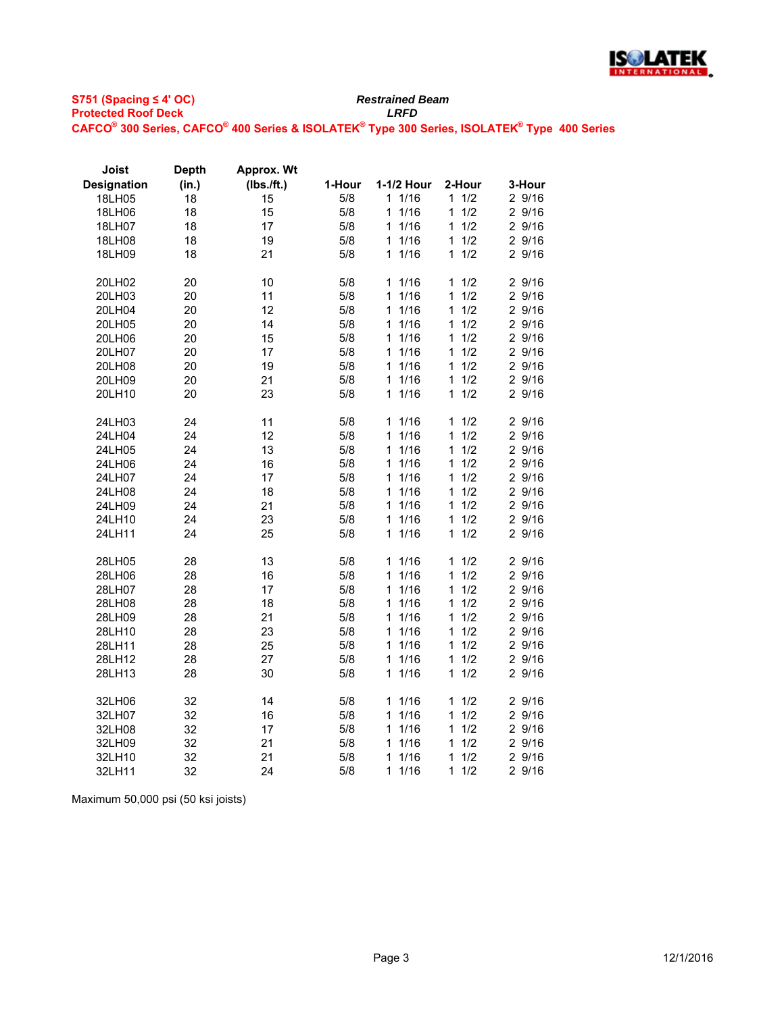

| Joist              | <b>Depth</b> | Approx. Wt |        |                      |                     |        |
|--------------------|--------------|------------|--------|----------------------|---------------------|--------|
| <b>Designation</b> | (in.)        | (Ibs./ft.) | 1-Hour | 1-1/2 Hour           | 2-Hour              | 3-Hour |
| 18LH05             | 18           | 15         | 5/8    | 11/16                | 11/2                | 2 9/16 |
| 18LH06             | 18           | 15         | 5/8    | 1/16<br>1            | 1/2<br>$\mathbf{1}$ | 2 9/16 |
| 18LH07             | 18           | 17         | 5/8    | 1/16<br>1            | 1/2<br>1            | 2 9/16 |
| 18LH08             | 18           | 19         | 5/8    | 1/16<br>1            | 1/2<br>1            | 2 9/16 |
| 18LH09             | 18           | 21         | 5/8    | 1/16<br>1            | 1/2<br>$\mathbf{1}$ | 2 9/16 |
| 20LH02             | 20           | 10         | 5/8    | 1/16<br>1            | 1/2<br>1            | 2 9/16 |
| 20LH03             | 20           | 11         | 5/8    | 1/16<br>1            | $\mathbf{1}$<br>1/2 | 2 9/16 |
| 20LH04             | 20           | 12         | 5/8    | 1/16<br>1            | 1/2<br>1            | 2 9/16 |
| 20LH05             | 20           | 14         | 5/8    | 1/16<br>1            | 1/2<br>1            | 2 9/16 |
| 20LH06             | 20           | 15         | 5/8    | 1/16<br>1            | 1/2<br>1            | 2 9/16 |
|                    | 20           | 17         | 5/8    | 1/16<br>1            | 1/2<br>1            | 2 9/16 |
| 20LH07             | 20           | 19         |        | 1/16<br>1            | 1<br>1/2            | 2 9/16 |
| 20LH08             |              |            | 5/8    | $1/16$               |                     |        |
| 20LH09             | 20           | 21         | 5/8    | 1                    | 1/2<br>$\mathbf{1}$ | 2 9/16 |
| 20LH10             | 20           | 23         | 5/8    | 1/16<br>1            | 1/2<br>$\mathbf{1}$ | 2 9/16 |
| 24LH03             | 24           | 11         | 5/8    | 1/16<br>1            | 1/2<br>1            | 2 9/16 |
| 24LH04             | 24           | 12         | 5/8    | 1/16<br>1            | 1/2<br>1            | 2 9/16 |
| 24LH05             | 24           | 13         | 5/8    | 1<br>1/16            | 1/2<br>1            | 2 9/16 |
| 24LH06             | 24           | 16         | 5/8    | 1/16<br>1            | 1/2<br>1            | 2 9/16 |
| 24LH07             | 24           | 17         | 5/8    | 1<br>1/16            | 1/2<br>$\mathbf{1}$ | 2 9/16 |
| 24LH08             | 24           | 18         | 5/8    | 1/16<br>1            | 1/2<br>1            | 2 9/16 |
| 24LH09             | 24           | 21         | 5/8    | 1/16<br>1            | 1/2<br>1            | 2 9/16 |
| 24LH10             | 24           | 23         | 5/8    | 1<br>1/16            | 1/2<br>1            | 2 9/16 |
| 24LH11             | 24           | 25         | 5/8    | 1<br>1/16            | $\mathbf{1}$<br>1/2 | 2 9/16 |
| 28LH05             | 28           | 13         | 5/8    | 1/16<br>1            | 1/2<br>1            | 29/16  |
| 28LH06             | 28           | 16         | 5/8    | 1/16<br>1            | $\mathbf{1}$<br>1/2 | 2 9/16 |
| 28LH07             | 28           | 17         | 5/8    | 1/16<br>1            | 1/2<br>1            | 2 9/16 |
| 28LH08             | 28           | 18         | 5/8    | 1/16<br>1            | 1/2<br>1            | 2 9/16 |
| 28LH09             | 28           | 21         | 5/8    | 1/16<br>1            | 1/2<br>1            | 2 9/16 |
| 28LH10             | 28           | 23         | 5/8    | 1/16<br>1            | 1/2<br>1            | 2 9/16 |
| 28LH11             | 28           | 25         | 5/8    | $\mathbf{1}$<br>1/16 | 1/2<br>1            | 2 9/16 |
| 28LH12             | 28           | 27         | 5/8    | 1/16<br>1            | 1/2<br>$\mathbf{1}$ | 2 9/16 |
| 28LH13             | 28           | 30         | 5/8    | 1/16<br>1            | 1/2<br>1            | 2 9/16 |
|                    |              |            |        |                      |                     |        |
| 32LH06             | 32           | 14         | 5/8    | 1/16<br>$\mathbf{1}$ | 1/2<br>1            | 2 9/16 |
| 32LH07             | 32           | 16         | 5/8    | 1<br>1/16            | 1<br>1/2            | 2 9/16 |
| 32LH08             | 32           | 17         | 5/8    | 1/16<br>1            | 1/2<br>1            | 2 9/16 |
| 32LH09             | 32           | 21         | 5/8    | 1/16<br>1            | 1/2<br>1            | 2 9/16 |
| 32LH10             | 32           | 21         | 5/8    | 1/16<br>1            | 1/2<br>1            | 2 9/16 |
| 32LH11             | 32           | 24         | 5/8    | 1/16<br>1            | 1/2<br>1            | 2 9/16 |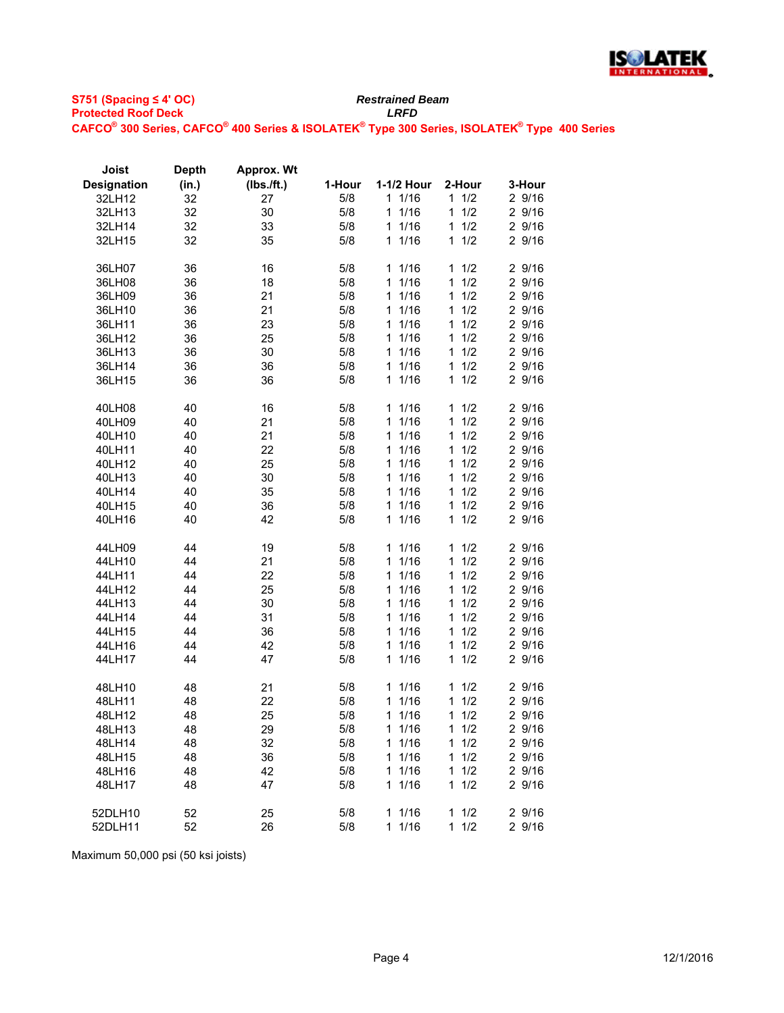

| (Ibs./ft.)<br><b>Designation</b><br>(in.)<br>1-Hour<br>1-1/2 Hour<br>2-Hour<br>3-Hour<br>5/8<br>11/16<br>1/2<br>32<br>27<br>1<br>29/16<br>32LH12<br>32<br>30<br>5/8<br>1/16<br>1/2<br>29/16<br>32LH13<br>1<br>1<br>32<br>33<br>5/8<br>1/2<br>2 9/16<br>32LH14<br>$\mathbf{1}$<br>1/16<br>$\mathbf{1}$<br>32<br>5/8<br>11/16<br>1/2<br>2 9/16<br>35<br>$\mathbf{1}$<br>32LH15<br>36<br>16<br>5/8<br>11/16<br>1/2<br>2 9/16<br>36LH07<br>1<br>1/2<br>36<br>18<br>5/8<br>1/16<br>$\mathbf{1}$<br>2 9/16<br>36LH08<br>1<br>5/8<br>1/2<br>36<br>21<br>1/16<br>$\mathbf{1}$<br>2 9/16<br>1<br>36LH09<br>1/16<br>1/2<br>2 9/16<br>21<br>5/8<br>$\mathbf{1}$<br>36LH10<br>36<br>1<br>1/16<br>23<br>5/8<br>1/2<br>29/16<br>36<br>1<br>1<br>36LH11<br>1/2<br>36<br>25<br>5/8<br>11/16<br>$\mathbf{1}$<br>29/16<br>36LH12<br>36<br>30<br>5/8<br>1/16<br>1/2<br>2 9/16<br>36LH13<br>1<br>1<br>36<br>5/8<br>1/16<br>1/2<br>36LH14<br>36<br>2 9/16<br>1<br>1<br>1/16<br>1/2<br>36LH15<br>36<br>36<br>5/8<br>$\mathbf{1}$<br>$\mathbf{1}$<br>2 9/16<br>5/8<br>11/16<br>1/2<br>2 9/16<br>40LH08<br>40<br>16<br>1<br>40<br>21<br>5/8<br>1/16<br>$\mathbf{1}$<br>1/2<br>29/16<br>40LH09<br>1<br>1/2<br>5/8<br>1/16<br>2 9/16<br>40<br>21<br>1<br>1<br>40LH10<br>22<br>5/8<br>1/16<br>1/2<br>40LH11<br>40<br>2 9/16<br>1<br>1<br>25<br>1/2<br>2 9/16<br>40<br>5/8<br>1/16<br>$\mathbf{1}$<br>40LH12<br>1<br>1/16<br>1/2<br>2 9/16<br>40<br>30<br>5/8<br>$\mathbf{1}$<br>40LH13<br>1<br>40<br>35<br>5/8<br>11/16<br>$\mathbf{1}$<br>1/2<br>29/16<br>40LH14<br>40<br>36<br>5/8<br>1/16<br>1/2<br>2 9/16<br>40LH15<br>1<br>1<br>5/8<br>1/16<br>1/2<br>40LH16<br>40<br>42<br>2 9/16<br>1<br>1<br>5/8<br>1/16<br>1/2<br>2 9/16<br>44<br>19<br>1<br>1<br>44LH09<br>44<br>21<br>5/8<br>1/16<br>1/2<br>2 9/16<br>44LH10<br>$\mathbf{1}$<br>$\mathbf{1}$<br>22<br>2 9/16<br>44LH11<br>44<br>5/8<br>$\mathbf{1}$<br>1/16<br>$\mathbf{1}$<br>1/2<br>44<br>25<br>5/8<br>1/16<br>1/2<br>2 9/16<br>44LH12<br>1<br>1<br>44<br>30<br>5/8<br>1/2<br>1/16<br>2 9/16<br>44LH13<br>1<br>1<br>31<br>1/2<br>2 9/16<br>44<br>5/8<br>1/16<br>$\mathbf{1}$<br>44LH14<br>1<br>1/16<br>1/2<br>2 9/16<br>44<br>36<br>5/8<br>$\mathbf{1}$<br>44LH15<br>1<br>11/16<br>44<br>5/8<br>$\mathbf{1}$<br>1/2<br>2 9/16<br>44LH16<br>42<br>$1/16$<br>1/2<br>2 9/16<br>44LH17<br>44<br>47<br>5/8<br>1.<br>1.<br>21<br>5/8<br>11/16<br>1/2<br>2 9/16<br>48LH10<br>48<br>1<br>22<br>1/2<br>2 9/16<br>48LH11<br>48<br>5/8<br>1/16<br>$\mathbf{1}$<br>1<br>25<br>48<br>11/16<br>1/2<br>2 9/16<br>48LH12<br>5/8<br>$\mathbf{1}$<br>29<br>2 9/16<br>48LH13<br>48<br>5/8<br>11/16<br>1.<br>1/2<br>48LH14<br>48<br>5/8<br>11/16<br>11/2<br>29/16<br>32<br>5/8<br>48<br>36<br>11/16<br>1/2<br>48LH15<br>1.<br>29/16<br>48<br>42<br>5/8<br>11/16<br>11/2<br>2 9/16<br>48LH16<br>5/8<br>11/16<br>11/2<br>2 9/16<br>48<br>47<br>48LH17<br>5/8<br>11/16<br>52DLH10<br>52<br>25<br>11/2<br>29/16<br>52DLH11<br>52<br>26<br>5/8<br>11/16<br>11/2<br>2 9/16 | Joist | <b>Depth</b> | Approx. Wt |  |  |
|------------------------------------------------------------------------------------------------------------------------------------------------------------------------------------------------------------------------------------------------------------------------------------------------------------------------------------------------------------------------------------------------------------------------------------------------------------------------------------------------------------------------------------------------------------------------------------------------------------------------------------------------------------------------------------------------------------------------------------------------------------------------------------------------------------------------------------------------------------------------------------------------------------------------------------------------------------------------------------------------------------------------------------------------------------------------------------------------------------------------------------------------------------------------------------------------------------------------------------------------------------------------------------------------------------------------------------------------------------------------------------------------------------------------------------------------------------------------------------------------------------------------------------------------------------------------------------------------------------------------------------------------------------------------------------------------------------------------------------------------------------------------------------------------------------------------------------------------------------------------------------------------------------------------------------------------------------------------------------------------------------------------------------------------------------------------------------------------------------------------------------------------------------------------------------------------------------------------------------------------------------------------------------------------------------------------------------------------------------------------------------------------------------------------------------------------------------------------------------------------------------------------------------------------------------------------------------------------------------------------------------------------------------------------------------------------------------------------------------------------------------------------------------------------------------------------------------------------------------------------------------------------------------------------------------------------------------------------------------|-------|--------------|------------|--|--|
|                                                                                                                                                                                                                                                                                                                                                                                                                                                                                                                                                                                                                                                                                                                                                                                                                                                                                                                                                                                                                                                                                                                                                                                                                                                                                                                                                                                                                                                                                                                                                                                                                                                                                                                                                                                                                                                                                                                                                                                                                                                                                                                                                                                                                                                                                                                                                                                                                                                                                                                                                                                                                                                                                                                                                                                                                                                                                                                                                                                    |       |              |            |  |  |
|                                                                                                                                                                                                                                                                                                                                                                                                                                                                                                                                                                                                                                                                                                                                                                                                                                                                                                                                                                                                                                                                                                                                                                                                                                                                                                                                                                                                                                                                                                                                                                                                                                                                                                                                                                                                                                                                                                                                                                                                                                                                                                                                                                                                                                                                                                                                                                                                                                                                                                                                                                                                                                                                                                                                                                                                                                                                                                                                                                                    |       |              |            |  |  |
|                                                                                                                                                                                                                                                                                                                                                                                                                                                                                                                                                                                                                                                                                                                                                                                                                                                                                                                                                                                                                                                                                                                                                                                                                                                                                                                                                                                                                                                                                                                                                                                                                                                                                                                                                                                                                                                                                                                                                                                                                                                                                                                                                                                                                                                                                                                                                                                                                                                                                                                                                                                                                                                                                                                                                                                                                                                                                                                                                                                    |       |              |            |  |  |
|                                                                                                                                                                                                                                                                                                                                                                                                                                                                                                                                                                                                                                                                                                                                                                                                                                                                                                                                                                                                                                                                                                                                                                                                                                                                                                                                                                                                                                                                                                                                                                                                                                                                                                                                                                                                                                                                                                                                                                                                                                                                                                                                                                                                                                                                                                                                                                                                                                                                                                                                                                                                                                                                                                                                                                                                                                                                                                                                                                                    |       |              |            |  |  |
|                                                                                                                                                                                                                                                                                                                                                                                                                                                                                                                                                                                                                                                                                                                                                                                                                                                                                                                                                                                                                                                                                                                                                                                                                                                                                                                                                                                                                                                                                                                                                                                                                                                                                                                                                                                                                                                                                                                                                                                                                                                                                                                                                                                                                                                                                                                                                                                                                                                                                                                                                                                                                                                                                                                                                                                                                                                                                                                                                                                    |       |              |            |  |  |
|                                                                                                                                                                                                                                                                                                                                                                                                                                                                                                                                                                                                                                                                                                                                                                                                                                                                                                                                                                                                                                                                                                                                                                                                                                                                                                                                                                                                                                                                                                                                                                                                                                                                                                                                                                                                                                                                                                                                                                                                                                                                                                                                                                                                                                                                                                                                                                                                                                                                                                                                                                                                                                                                                                                                                                                                                                                                                                                                                                                    |       |              |            |  |  |
|                                                                                                                                                                                                                                                                                                                                                                                                                                                                                                                                                                                                                                                                                                                                                                                                                                                                                                                                                                                                                                                                                                                                                                                                                                                                                                                                                                                                                                                                                                                                                                                                                                                                                                                                                                                                                                                                                                                                                                                                                                                                                                                                                                                                                                                                                                                                                                                                                                                                                                                                                                                                                                                                                                                                                                                                                                                                                                                                                                                    |       |              |            |  |  |
|                                                                                                                                                                                                                                                                                                                                                                                                                                                                                                                                                                                                                                                                                                                                                                                                                                                                                                                                                                                                                                                                                                                                                                                                                                                                                                                                                                                                                                                                                                                                                                                                                                                                                                                                                                                                                                                                                                                                                                                                                                                                                                                                                                                                                                                                                                                                                                                                                                                                                                                                                                                                                                                                                                                                                                                                                                                                                                                                                                                    |       |              |            |  |  |
|                                                                                                                                                                                                                                                                                                                                                                                                                                                                                                                                                                                                                                                                                                                                                                                                                                                                                                                                                                                                                                                                                                                                                                                                                                                                                                                                                                                                                                                                                                                                                                                                                                                                                                                                                                                                                                                                                                                                                                                                                                                                                                                                                                                                                                                                                                                                                                                                                                                                                                                                                                                                                                                                                                                                                                                                                                                                                                                                                                                    |       |              |            |  |  |
|                                                                                                                                                                                                                                                                                                                                                                                                                                                                                                                                                                                                                                                                                                                                                                                                                                                                                                                                                                                                                                                                                                                                                                                                                                                                                                                                                                                                                                                                                                                                                                                                                                                                                                                                                                                                                                                                                                                                                                                                                                                                                                                                                                                                                                                                                                                                                                                                                                                                                                                                                                                                                                                                                                                                                                                                                                                                                                                                                                                    |       |              |            |  |  |
|                                                                                                                                                                                                                                                                                                                                                                                                                                                                                                                                                                                                                                                                                                                                                                                                                                                                                                                                                                                                                                                                                                                                                                                                                                                                                                                                                                                                                                                                                                                                                                                                                                                                                                                                                                                                                                                                                                                                                                                                                                                                                                                                                                                                                                                                                                                                                                                                                                                                                                                                                                                                                                                                                                                                                                                                                                                                                                                                                                                    |       |              |            |  |  |
|                                                                                                                                                                                                                                                                                                                                                                                                                                                                                                                                                                                                                                                                                                                                                                                                                                                                                                                                                                                                                                                                                                                                                                                                                                                                                                                                                                                                                                                                                                                                                                                                                                                                                                                                                                                                                                                                                                                                                                                                                                                                                                                                                                                                                                                                                                                                                                                                                                                                                                                                                                                                                                                                                                                                                                                                                                                                                                                                                                                    |       |              |            |  |  |
|                                                                                                                                                                                                                                                                                                                                                                                                                                                                                                                                                                                                                                                                                                                                                                                                                                                                                                                                                                                                                                                                                                                                                                                                                                                                                                                                                                                                                                                                                                                                                                                                                                                                                                                                                                                                                                                                                                                                                                                                                                                                                                                                                                                                                                                                                                                                                                                                                                                                                                                                                                                                                                                                                                                                                                                                                                                                                                                                                                                    |       |              |            |  |  |
|                                                                                                                                                                                                                                                                                                                                                                                                                                                                                                                                                                                                                                                                                                                                                                                                                                                                                                                                                                                                                                                                                                                                                                                                                                                                                                                                                                                                                                                                                                                                                                                                                                                                                                                                                                                                                                                                                                                                                                                                                                                                                                                                                                                                                                                                                                                                                                                                                                                                                                                                                                                                                                                                                                                                                                                                                                                                                                                                                                                    |       |              |            |  |  |
|                                                                                                                                                                                                                                                                                                                                                                                                                                                                                                                                                                                                                                                                                                                                                                                                                                                                                                                                                                                                                                                                                                                                                                                                                                                                                                                                                                                                                                                                                                                                                                                                                                                                                                                                                                                                                                                                                                                                                                                                                                                                                                                                                                                                                                                                                                                                                                                                                                                                                                                                                                                                                                                                                                                                                                                                                                                                                                                                                                                    |       |              |            |  |  |
|                                                                                                                                                                                                                                                                                                                                                                                                                                                                                                                                                                                                                                                                                                                                                                                                                                                                                                                                                                                                                                                                                                                                                                                                                                                                                                                                                                                                                                                                                                                                                                                                                                                                                                                                                                                                                                                                                                                                                                                                                                                                                                                                                                                                                                                                                                                                                                                                                                                                                                                                                                                                                                                                                                                                                                                                                                                                                                                                                                                    |       |              |            |  |  |
|                                                                                                                                                                                                                                                                                                                                                                                                                                                                                                                                                                                                                                                                                                                                                                                                                                                                                                                                                                                                                                                                                                                                                                                                                                                                                                                                                                                                                                                                                                                                                                                                                                                                                                                                                                                                                                                                                                                                                                                                                                                                                                                                                                                                                                                                                                                                                                                                                                                                                                                                                                                                                                                                                                                                                                                                                                                                                                                                                                                    |       |              |            |  |  |
|                                                                                                                                                                                                                                                                                                                                                                                                                                                                                                                                                                                                                                                                                                                                                                                                                                                                                                                                                                                                                                                                                                                                                                                                                                                                                                                                                                                                                                                                                                                                                                                                                                                                                                                                                                                                                                                                                                                                                                                                                                                                                                                                                                                                                                                                                                                                                                                                                                                                                                                                                                                                                                                                                                                                                                                                                                                                                                                                                                                    |       |              |            |  |  |
|                                                                                                                                                                                                                                                                                                                                                                                                                                                                                                                                                                                                                                                                                                                                                                                                                                                                                                                                                                                                                                                                                                                                                                                                                                                                                                                                                                                                                                                                                                                                                                                                                                                                                                                                                                                                                                                                                                                                                                                                                                                                                                                                                                                                                                                                                                                                                                                                                                                                                                                                                                                                                                                                                                                                                                                                                                                                                                                                                                                    |       |              |            |  |  |
|                                                                                                                                                                                                                                                                                                                                                                                                                                                                                                                                                                                                                                                                                                                                                                                                                                                                                                                                                                                                                                                                                                                                                                                                                                                                                                                                                                                                                                                                                                                                                                                                                                                                                                                                                                                                                                                                                                                                                                                                                                                                                                                                                                                                                                                                                                                                                                                                                                                                                                                                                                                                                                                                                                                                                                                                                                                                                                                                                                                    |       |              |            |  |  |
|                                                                                                                                                                                                                                                                                                                                                                                                                                                                                                                                                                                                                                                                                                                                                                                                                                                                                                                                                                                                                                                                                                                                                                                                                                                                                                                                                                                                                                                                                                                                                                                                                                                                                                                                                                                                                                                                                                                                                                                                                                                                                                                                                                                                                                                                                                                                                                                                                                                                                                                                                                                                                                                                                                                                                                                                                                                                                                                                                                                    |       |              |            |  |  |
|                                                                                                                                                                                                                                                                                                                                                                                                                                                                                                                                                                                                                                                                                                                                                                                                                                                                                                                                                                                                                                                                                                                                                                                                                                                                                                                                                                                                                                                                                                                                                                                                                                                                                                                                                                                                                                                                                                                                                                                                                                                                                                                                                                                                                                                                                                                                                                                                                                                                                                                                                                                                                                                                                                                                                                                                                                                                                                                                                                                    |       |              |            |  |  |
|                                                                                                                                                                                                                                                                                                                                                                                                                                                                                                                                                                                                                                                                                                                                                                                                                                                                                                                                                                                                                                                                                                                                                                                                                                                                                                                                                                                                                                                                                                                                                                                                                                                                                                                                                                                                                                                                                                                                                                                                                                                                                                                                                                                                                                                                                                                                                                                                                                                                                                                                                                                                                                                                                                                                                                                                                                                                                                                                                                                    |       |              |            |  |  |
|                                                                                                                                                                                                                                                                                                                                                                                                                                                                                                                                                                                                                                                                                                                                                                                                                                                                                                                                                                                                                                                                                                                                                                                                                                                                                                                                                                                                                                                                                                                                                                                                                                                                                                                                                                                                                                                                                                                                                                                                                                                                                                                                                                                                                                                                                                                                                                                                                                                                                                                                                                                                                                                                                                                                                                                                                                                                                                                                                                                    |       |              |            |  |  |
|                                                                                                                                                                                                                                                                                                                                                                                                                                                                                                                                                                                                                                                                                                                                                                                                                                                                                                                                                                                                                                                                                                                                                                                                                                                                                                                                                                                                                                                                                                                                                                                                                                                                                                                                                                                                                                                                                                                                                                                                                                                                                                                                                                                                                                                                                                                                                                                                                                                                                                                                                                                                                                                                                                                                                                                                                                                                                                                                                                                    |       |              |            |  |  |
|                                                                                                                                                                                                                                                                                                                                                                                                                                                                                                                                                                                                                                                                                                                                                                                                                                                                                                                                                                                                                                                                                                                                                                                                                                                                                                                                                                                                                                                                                                                                                                                                                                                                                                                                                                                                                                                                                                                                                                                                                                                                                                                                                                                                                                                                                                                                                                                                                                                                                                                                                                                                                                                                                                                                                                                                                                                                                                                                                                                    |       |              |            |  |  |
|                                                                                                                                                                                                                                                                                                                                                                                                                                                                                                                                                                                                                                                                                                                                                                                                                                                                                                                                                                                                                                                                                                                                                                                                                                                                                                                                                                                                                                                                                                                                                                                                                                                                                                                                                                                                                                                                                                                                                                                                                                                                                                                                                                                                                                                                                                                                                                                                                                                                                                                                                                                                                                                                                                                                                                                                                                                                                                                                                                                    |       |              |            |  |  |
|                                                                                                                                                                                                                                                                                                                                                                                                                                                                                                                                                                                                                                                                                                                                                                                                                                                                                                                                                                                                                                                                                                                                                                                                                                                                                                                                                                                                                                                                                                                                                                                                                                                                                                                                                                                                                                                                                                                                                                                                                                                                                                                                                                                                                                                                                                                                                                                                                                                                                                                                                                                                                                                                                                                                                                                                                                                                                                                                                                                    |       |              |            |  |  |
|                                                                                                                                                                                                                                                                                                                                                                                                                                                                                                                                                                                                                                                                                                                                                                                                                                                                                                                                                                                                                                                                                                                                                                                                                                                                                                                                                                                                                                                                                                                                                                                                                                                                                                                                                                                                                                                                                                                                                                                                                                                                                                                                                                                                                                                                                                                                                                                                                                                                                                                                                                                                                                                                                                                                                                                                                                                                                                                                                                                    |       |              |            |  |  |
|                                                                                                                                                                                                                                                                                                                                                                                                                                                                                                                                                                                                                                                                                                                                                                                                                                                                                                                                                                                                                                                                                                                                                                                                                                                                                                                                                                                                                                                                                                                                                                                                                                                                                                                                                                                                                                                                                                                                                                                                                                                                                                                                                                                                                                                                                                                                                                                                                                                                                                                                                                                                                                                                                                                                                                                                                                                                                                                                                                                    |       |              |            |  |  |
|                                                                                                                                                                                                                                                                                                                                                                                                                                                                                                                                                                                                                                                                                                                                                                                                                                                                                                                                                                                                                                                                                                                                                                                                                                                                                                                                                                                                                                                                                                                                                                                                                                                                                                                                                                                                                                                                                                                                                                                                                                                                                                                                                                                                                                                                                                                                                                                                                                                                                                                                                                                                                                                                                                                                                                                                                                                                                                                                                                                    |       |              |            |  |  |
|                                                                                                                                                                                                                                                                                                                                                                                                                                                                                                                                                                                                                                                                                                                                                                                                                                                                                                                                                                                                                                                                                                                                                                                                                                                                                                                                                                                                                                                                                                                                                                                                                                                                                                                                                                                                                                                                                                                                                                                                                                                                                                                                                                                                                                                                                                                                                                                                                                                                                                                                                                                                                                                                                                                                                                                                                                                                                                                                                                                    |       |              |            |  |  |
|                                                                                                                                                                                                                                                                                                                                                                                                                                                                                                                                                                                                                                                                                                                                                                                                                                                                                                                                                                                                                                                                                                                                                                                                                                                                                                                                                                                                                                                                                                                                                                                                                                                                                                                                                                                                                                                                                                                                                                                                                                                                                                                                                                                                                                                                                                                                                                                                                                                                                                                                                                                                                                                                                                                                                                                                                                                                                                                                                                                    |       |              |            |  |  |
|                                                                                                                                                                                                                                                                                                                                                                                                                                                                                                                                                                                                                                                                                                                                                                                                                                                                                                                                                                                                                                                                                                                                                                                                                                                                                                                                                                                                                                                                                                                                                                                                                                                                                                                                                                                                                                                                                                                                                                                                                                                                                                                                                                                                                                                                                                                                                                                                                                                                                                                                                                                                                                                                                                                                                                                                                                                                                                                                                                                    |       |              |            |  |  |
|                                                                                                                                                                                                                                                                                                                                                                                                                                                                                                                                                                                                                                                                                                                                                                                                                                                                                                                                                                                                                                                                                                                                                                                                                                                                                                                                                                                                                                                                                                                                                                                                                                                                                                                                                                                                                                                                                                                                                                                                                                                                                                                                                                                                                                                                                                                                                                                                                                                                                                                                                                                                                                                                                                                                                                                                                                                                                                                                                                                    |       |              |            |  |  |
|                                                                                                                                                                                                                                                                                                                                                                                                                                                                                                                                                                                                                                                                                                                                                                                                                                                                                                                                                                                                                                                                                                                                                                                                                                                                                                                                                                                                                                                                                                                                                                                                                                                                                                                                                                                                                                                                                                                                                                                                                                                                                                                                                                                                                                                                                                                                                                                                                                                                                                                                                                                                                                                                                                                                                                                                                                                                                                                                                                                    |       |              |            |  |  |
|                                                                                                                                                                                                                                                                                                                                                                                                                                                                                                                                                                                                                                                                                                                                                                                                                                                                                                                                                                                                                                                                                                                                                                                                                                                                                                                                                                                                                                                                                                                                                                                                                                                                                                                                                                                                                                                                                                                                                                                                                                                                                                                                                                                                                                                                                                                                                                                                                                                                                                                                                                                                                                                                                                                                                                                                                                                                                                                                                                                    |       |              |            |  |  |
|                                                                                                                                                                                                                                                                                                                                                                                                                                                                                                                                                                                                                                                                                                                                                                                                                                                                                                                                                                                                                                                                                                                                                                                                                                                                                                                                                                                                                                                                                                                                                                                                                                                                                                                                                                                                                                                                                                                                                                                                                                                                                                                                                                                                                                                                                                                                                                                                                                                                                                                                                                                                                                                                                                                                                                                                                                                                                                                                                                                    |       |              |            |  |  |
|                                                                                                                                                                                                                                                                                                                                                                                                                                                                                                                                                                                                                                                                                                                                                                                                                                                                                                                                                                                                                                                                                                                                                                                                                                                                                                                                                                                                                                                                                                                                                                                                                                                                                                                                                                                                                                                                                                                                                                                                                                                                                                                                                                                                                                                                                                                                                                                                                                                                                                                                                                                                                                                                                                                                                                                                                                                                                                                                                                                    |       |              |            |  |  |
|                                                                                                                                                                                                                                                                                                                                                                                                                                                                                                                                                                                                                                                                                                                                                                                                                                                                                                                                                                                                                                                                                                                                                                                                                                                                                                                                                                                                                                                                                                                                                                                                                                                                                                                                                                                                                                                                                                                                                                                                                                                                                                                                                                                                                                                                                                                                                                                                                                                                                                                                                                                                                                                                                                                                                                                                                                                                                                                                                                                    |       |              |            |  |  |
|                                                                                                                                                                                                                                                                                                                                                                                                                                                                                                                                                                                                                                                                                                                                                                                                                                                                                                                                                                                                                                                                                                                                                                                                                                                                                                                                                                                                                                                                                                                                                                                                                                                                                                                                                                                                                                                                                                                                                                                                                                                                                                                                                                                                                                                                                                                                                                                                                                                                                                                                                                                                                                                                                                                                                                                                                                                                                                                                                                                    |       |              |            |  |  |
|                                                                                                                                                                                                                                                                                                                                                                                                                                                                                                                                                                                                                                                                                                                                                                                                                                                                                                                                                                                                                                                                                                                                                                                                                                                                                                                                                                                                                                                                                                                                                                                                                                                                                                                                                                                                                                                                                                                                                                                                                                                                                                                                                                                                                                                                                                                                                                                                                                                                                                                                                                                                                                                                                                                                                                                                                                                                                                                                                                                    |       |              |            |  |  |
|                                                                                                                                                                                                                                                                                                                                                                                                                                                                                                                                                                                                                                                                                                                                                                                                                                                                                                                                                                                                                                                                                                                                                                                                                                                                                                                                                                                                                                                                                                                                                                                                                                                                                                                                                                                                                                                                                                                                                                                                                                                                                                                                                                                                                                                                                                                                                                                                                                                                                                                                                                                                                                                                                                                                                                                                                                                                                                                                                                                    |       |              |            |  |  |
|                                                                                                                                                                                                                                                                                                                                                                                                                                                                                                                                                                                                                                                                                                                                                                                                                                                                                                                                                                                                                                                                                                                                                                                                                                                                                                                                                                                                                                                                                                                                                                                                                                                                                                                                                                                                                                                                                                                                                                                                                                                                                                                                                                                                                                                                                                                                                                                                                                                                                                                                                                                                                                                                                                                                                                                                                                                                                                                                                                                    |       |              |            |  |  |
|                                                                                                                                                                                                                                                                                                                                                                                                                                                                                                                                                                                                                                                                                                                                                                                                                                                                                                                                                                                                                                                                                                                                                                                                                                                                                                                                                                                                                                                                                                                                                                                                                                                                                                                                                                                                                                                                                                                                                                                                                                                                                                                                                                                                                                                                                                                                                                                                                                                                                                                                                                                                                                                                                                                                                                                                                                                                                                                                                                                    |       |              |            |  |  |
|                                                                                                                                                                                                                                                                                                                                                                                                                                                                                                                                                                                                                                                                                                                                                                                                                                                                                                                                                                                                                                                                                                                                                                                                                                                                                                                                                                                                                                                                                                                                                                                                                                                                                                                                                                                                                                                                                                                                                                                                                                                                                                                                                                                                                                                                                                                                                                                                                                                                                                                                                                                                                                                                                                                                                                                                                                                                                                                                                                                    |       |              |            |  |  |